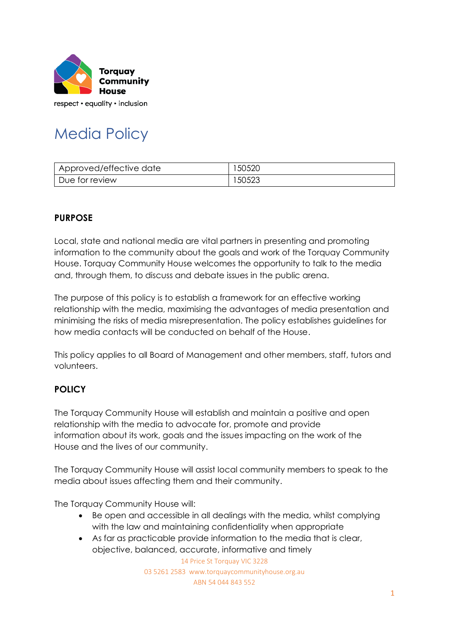

respect • equality • inclusion

# Media Policy

| Approved/effective date | 50520 |
|-------------------------|-------|
| Due for review          | 50523 |

## **PURPOSE**

Local, state and national media are vital partners in presenting and promoting information to the community about the goals and work of the Torquay Community House. Torquay Community House welcomes the opportunity to talk to the media and, through them, to discuss and debate issues in the public arena.

The purpose of this policy is to establish a framework for an effective working relationship with the media, maximising the advantages of media presentation and minimising the risks of media misrepresentation. The policy establishes guidelines for how media contacts will be conducted on behalf of the House.

This policy applies to all Board of Management and other members, staff, tutors and volunteers.

## **POLICY**

The Torquay Community House will establish and maintain a positive and open relationship with the media to advocate for, promote and provide information about its work, goals and the issues impacting on the work of the House and the lives of our community.

The Torquay Community House will assist local community members to speak to the media about issues affecting them and their community.

The Torquay Community House will:

- Be open and accessible in all dealings with the media, whilst complying with the law and maintaining confidentiality when appropriate
- As far as practicable provide information to the media that is clear, objective, balanced, accurate, informative and timely

14 Price St Torquay VIC 3228 03 5261 2583 www.torquaycommunityhouse.org.au ABN 54 044 843 552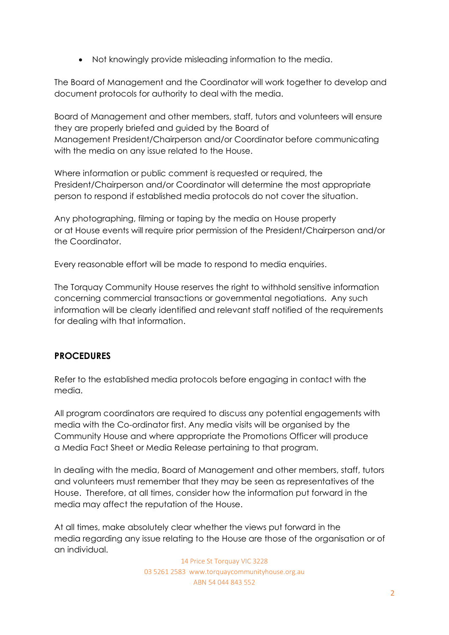• Not knowingly provide misleading information to the media.

The Board of Management and the Coordinator will work together to develop and document protocols for authority to deal with the media.

Board of Management and other members, staff, tutors and volunteers will ensure they are properly briefed and guided by the Board of Management President/Chairperson and/or Coordinator before communicating with the media on any issue related to the House.

Where information or public comment is requested or required, the President/Chairperson and/or Coordinator will determine the most appropriate person to respond if established media protocols do not cover the situation.

Any photographing, filming or taping by the media on House property or at House events will require prior permission of the President/Chairperson and/or the Coordinator.

Every reasonable effort will be made to respond to media enquiries.

The Torquay Community House reserves the right to withhold sensitive information concerning commercial transactions or governmental negotiations. Any such information will be clearly identified and relevant staff notified of the requirements for dealing with that information.

### **PROCEDURES**

Refer to the established media protocols before engaging in contact with the media.

All program coordinators are required to discuss any potential engagements with media with the Co-ordinator first. Any media visits will be organised by the Community House and where appropriate the Promotions Officer will produce a Media Fact Sheet or Media Release pertaining to that program.

In dealing with the media, Board of Management and other members, staff, tutors and volunteers must remember that they may be seen as representatives of the House. Therefore, at all times, consider how the information put forward in the media may affect the reputation of the House.

At all times, make absolutely clear whether the views put forward in the media regarding any issue relating to the House are those of the organisation or of an individual.

> 14 Price St Torquay VIC 3228 03 5261 2583 www.torquaycommunityhouse.org.au ABN 54 044 843 552